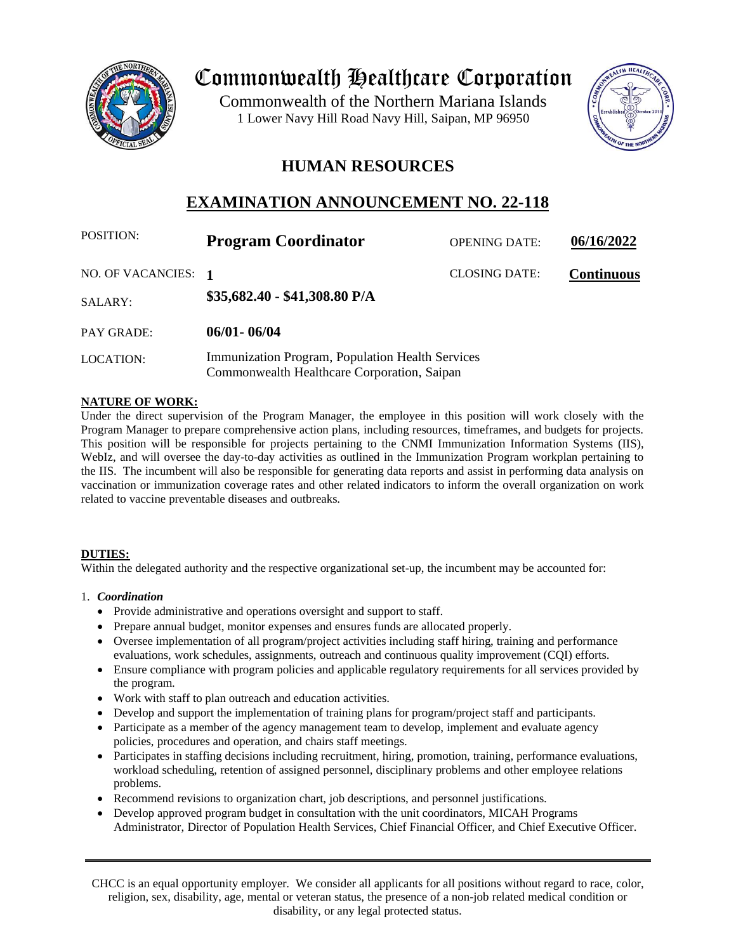

# Commonwealth Healthcare Corporation

 1 Lower Navy Hill Road Navy Hill, Saipan, MP 96950Commonwealth of the Northern Mariana Islands



# **HUMAN RESOURCES**

# **EXAMINATION ANNOUNCEMENT NO. 22-118**

| <b>POSITION:</b>    | <b>Program Coordinator</b>                                                                      | <b>OPENING DATE:</b> | 06/16/2022        |
|---------------------|-------------------------------------------------------------------------------------------------|----------------------|-------------------|
| NO. OF VACANCIES: 1 |                                                                                                 | <b>CLOSING DATE:</b> | <b>Continuous</b> |
| <b>SALARY:</b>      | \$35,682.40 - \$41,308.80 P/A                                                                   |                      |                   |
| <b>PAY GRADE:</b>   | $06/01 - 06/04$                                                                                 |                      |                   |
| <b>LOCATION:</b>    | Immunization Program, Population Health Services<br>Commonwealth Healthcare Corporation, Saipan |                      |                   |

# **NATURE OF WORK:**

Under the direct supervision of the Program Manager, the employee in this position will work closely with the Program Manager to prepare comprehensive action plans, including resources, timeframes, and budgets for projects. This position will be responsible for projects pertaining to the CNMI Immunization Information Systems (IIS), WebIz, and will oversee the day-to-day activities as outlined in the Immunization Program workplan pertaining to the IIS. The incumbent will also be responsible for generating data reports and assist in performing data analysis on vaccination or immunization coverage rates and other related indicators to inform the overall organization on work related to vaccine preventable diseases and outbreaks.

#### **DUTIES:**

Within the delegated authority and the respective organizational set-up, the incumbent may be accounted for:

#### 1. *Coordination*

- Provide administrative and operations oversight and support to staff.
- Prepare annual budget, monitor expenses and ensures funds are allocated properly.
- Oversee implementation of all program/project activities including staff hiring, training and performance evaluations, work schedules, assignments, outreach and continuous quality improvement (CQI) efforts.
- Ensure compliance with program policies and applicable regulatory requirements for all services provided by the program.
- Work with staff to plan outreach and education activities.
- Develop and support the implementation of training plans for program/project staff and participants.
- Participate as a member of the agency management team to develop, implement and evaluate agency policies, procedures and operation, and chairs staff meetings.
- Participates in staffing decisions including recruitment, hiring, promotion, training, performance evaluations, workload scheduling, retention of assigned personnel, disciplinary problems and other employee relations problems.
- Recommend revisions to organization chart, job descriptions, and personnel justifications.
- Develop approved program budget in consultation with the unit coordinators, MICAH Programs Administrator, Director of Population Health Services, Chief Financial Officer, and Chief Executive Officer.

CHCC is an equal opportunity employer. We consider all applicants for all positions without regard to race, color, religion, sex, disability, age, mental or veteran status, the presence of a non-job related medical condition or disability, or any legal protected status.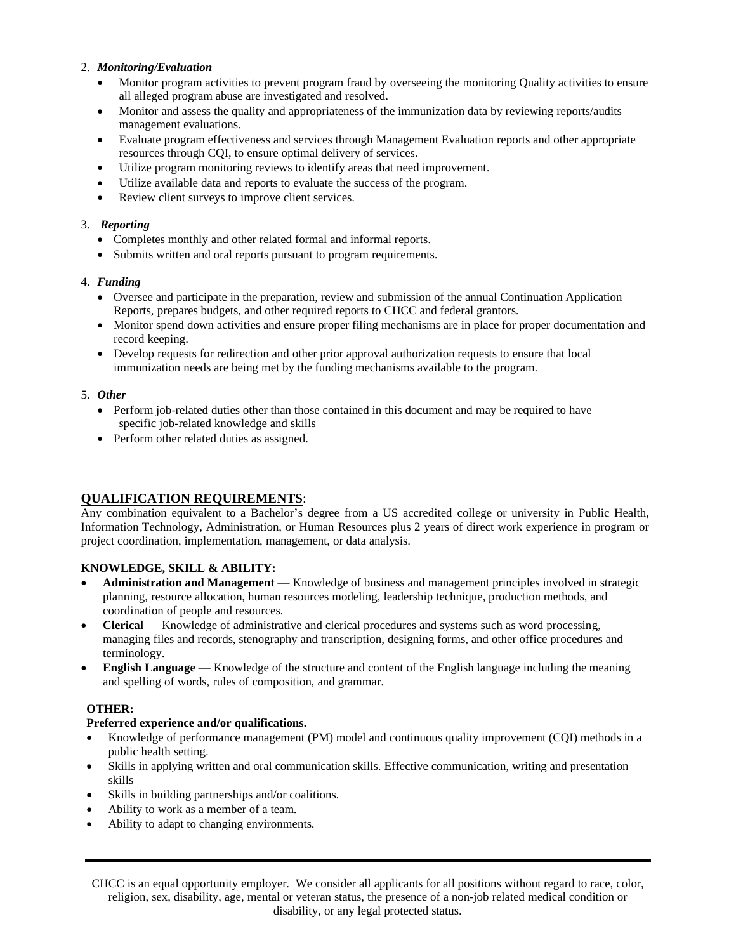#### 2. *Monitoring/Evaluation*

- Monitor program activities to prevent program fraud by overseeing the monitoring Quality activities to ensure all alleged program abuse are investigated and resolved.
- Monitor and assess the quality and appropriateness of the immunization data by reviewing reports/audits management evaluations.
- Evaluate program effectiveness and services through Management Evaluation reports and other appropriate resources through CQI, to ensure optimal delivery of services.
- Utilize program monitoring reviews to identify areas that need improvement.
- Utilize available data and reports to evaluate the success of the program.
- Review client surveys to improve client services.

#### 3. *Reporting*

- Completes monthly and other related formal and informal reports.
- Submits written and oral reports pursuant to program requirements.

#### 4. *Funding*

- Oversee and participate in the preparation, review and submission of the annual Continuation Application Reports, prepares budgets, and other required reports to CHCC and federal grantors.
- Monitor spend down activities and ensure proper filing mechanisms are in place for proper documentation and record keeping.
- Develop requests for redirection and other prior approval authorization requests to ensure that local immunization needs are being met by the funding mechanisms available to the program.

#### 5. *Other*

- Perform job-related duties other than those contained in this document and may be required to have specific job-related knowledge and skills
- Perform other related duties as assigned.

# **QUALIFICATION REQUIREMENTS**:

Any combination equivalent to a Bachelor's degree from a US accredited college or university in Public Health, Information Technology, Administration, or Human Resources plus 2 years of direct work experience in program or project coordination, implementation, management, or data analysis.

# **KNOWLEDGE, SKILL & ABILITY:**

- **Administration and Management** Knowledge of business and management principles involved in strategic planning, resource allocation, human resources modeling, leadership technique, production methods, and coordination of people and resources.
- **Clerical** Knowledge of administrative and clerical procedures and systems such as word processing, managing files and records, stenography and transcription, designing forms, and other office procedures and terminology.
- **English Language** Knowledge of the structure and content of the English language including the meaning and spelling of words, rules of composition, and grammar.

#### **OTHER:**

#### **Preferred experience and/or qualifications.**

- Knowledge of performance management (PM) model and continuous quality improvement (CQI) methods in a public health setting.
- Skills in applying written and oral communication skills. Effective communication, writing and presentation skills
- Skills in building partnerships and/or coalitions.
- Ability to work as a member of a team.
- Ability to adapt to changing environments.

CHCC is an equal opportunity employer. We consider all applicants for all positions without regard to race, color, religion, sex, disability, age, mental or veteran status, the presence of a non-job related medical condition or disability, or any legal protected status.